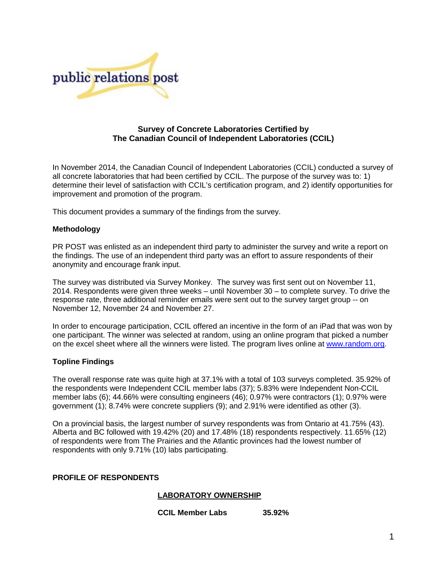

## **Survey of Concrete Laboratories Certified by The Canadian Council of Independent Laboratories (CCIL)**

In November 2014, the Canadian Council of Independent Laboratories (CCIL) conducted a survey of all concrete laboratories that had been certified by CCIL. The purpose of the survey was to: 1) determine their level of satisfaction with CCIL's certification program, and 2) identify opportunities for improvement and promotion of the program.

This document provides a summary of the findings from the survey.

## **Methodology**

PR POST was enlisted as an independent third party to administer the survey and write a report on the findings. The use of an independent third party was an effort to assure respondents of their anonymity and encourage frank input.

The survey was distributed via Survey Monkey. The survey was first sent out on November 11, 2014. Respondents were given three weeks – until November 30 – to complete survey. To drive the response rate, three additional reminder emails were sent out to the survey target group -- on November 12, November 24 and November 27.

In order to encourage participation, CCIL offered an incentive in the form of an iPad that was won by one participant. The winner was selected at random, using an online program that picked a number on the excel sheet where all the winners were listed. The program lives online at [www.random.org.](http://www.random.org/)

### **Topline Findings**

The overall response rate was quite high at 37.1% with a total of 103 surveys completed. 35.92% of the respondents were Independent CCIL member labs (37); 5.83% were Independent Non-CCIL member labs (6); 44.66% were consulting engineers (46); 0.97% were contractors (1); 0.97% were government (1); 8.74% were concrete suppliers (9); and 2.91% were identified as other (3).

On a provincial basis, the largest number of survey respondents was from Ontario at 41.75% (43). Alberta and BC followed with 19.42% (20) and 17.48% (18) respondents respectively. 11.65% (12) of respondents were from The Prairies and the Atlantic provinces had the lowest number of respondents with only 9.71% (10) labs participating.

### **PROFILE OF RESPONDENTS**

## **LABORATORY OWNERSHIP**

**CCIL Member Labs 35.92%**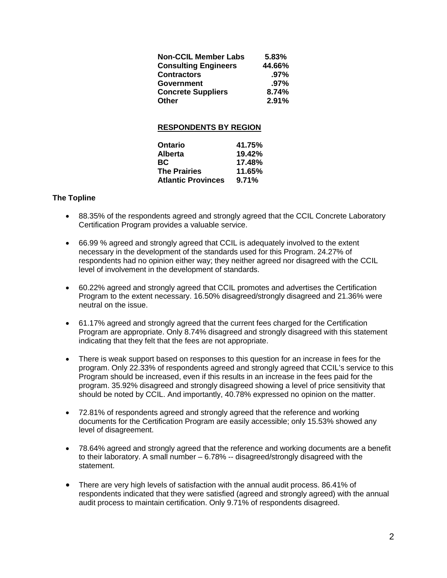| <b>Non-CCIL Member Labs</b> | 5.83%   |
|-----------------------------|---------|
| <b>Consulting Engineers</b> | 44.66%  |
| <b>Contractors</b>          | $.97\%$ |
| <b>Government</b>           | $.97\%$ |
| <b>Concrete Suppliers</b>   | 8.74%   |
| <b>Other</b>                | 2.91%   |

## **RESPONDENTS BY REGION**

| Ontario                   | 41.75% |
|---------------------------|--------|
| <b>Alberta</b>            | 19.42% |
| <b>BC</b>                 | 17.48% |
| <b>The Prairies</b>       | 11.65% |
| <b>Atlantic Provinces</b> | 9.71%  |

## **The Topline**

- 88.35% of the respondents agreed and strongly agreed that the CCIL Concrete Laboratory Certification Program provides a valuable service.
- 66.99 % agreed and strongly agreed that CCIL is adequately involved to the extent necessary in the development of the standards used for this Program. 24.27% of respondents had no opinion either way; they neither agreed nor disagreed with the CCIL level of involvement in the development of standards.
- 60.22% agreed and strongly agreed that CCIL promotes and advertises the Certification Program to the extent necessary. 16.50% disagreed/strongly disagreed and 21.36% were neutral on the issue.
- 61.17% agreed and strongly agreed that the current fees charged for the Certification Program are appropriate. Only 8.74% disagreed and strongly disagreed with this statement indicating that they felt that the fees are not appropriate.
- There is weak support based on responses to this question for an increase in fees for the program. Only 22.33% of respondents agreed and strongly agreed that CCIL's service to this Program should be increased, even if this results in an increase in the fees paid for the program. 35.92% disagreed and strongly disagreed showing a level of price sensitivity that should be noted by CCIL. And importantly, 40.78% expressed no opinion on the matter.
- 72.81% of respondents agreed and strongly agreed that the reference and working documents for the Certification Program are easily accessible; only 15.53% showed any level of disagreement.
- 78.64% agreed and strongly agreed that the reference and working documents are a benefit to their laboratory. A small number – 6.78% -- disagreed/strongly disagreed with the statement.
- There are very high levels of satisfaction with the annual audit process. 86.41% of respondents indicated that they were satisfied (agreed and strongly agreed) with the annual audit process to maintain certification. Only 9.71% of respondents disagreed.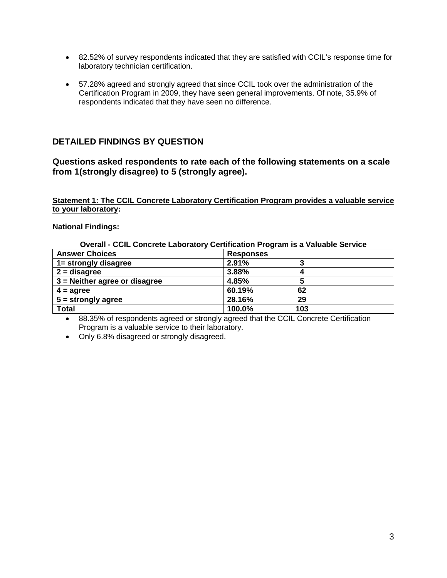- 82.52% of survey respondents indicated that they are satisfied with CCIL's response time for laboratory technician certification.
- 57.28% agreed and strongly agreed that since CCIL took over the administration of the Certification Program in 2009, they have seen general improvements. Of note, 35.9% of respondents indicated that they have seen no difference.

## **DETAILED FINDINGS BY QUESTION**

## **Questions asked respondents to rate each of the following statements on a scale from 1(strongly disagree) to 5 (strongly agree).**

## **Statement 1: The CCIL Concrete Laboratory Certification Program provides a valuable service to your laboratory:**

## **National Findings:**

**Overall - CCIL Concrete Laboratory Certification Program is a Valuable Service**

| <b>Answer Choices</b>           | <b>Responses</b> |
|---------------------------------|------------------|
| 1= strongly disagree            | 2.91%            |
| $2 =$ disagree                  | 3.88%            |
| $3$ = Neither agree or disagree | 4.85%            |
| $4 = \text{agree}$              | 60.19%<br>62     |
| $5 =$ strongly agree            | 28.16%<br>29     |
| <b>Total</b>                    | 100.0%<br>103    |

• 88.35% of respondents agreed or strongly agreed that the CCIL Concrete Certification Program is a valuable service to their laboratory.

• Only 6.8% disagreed or strongly disagreed.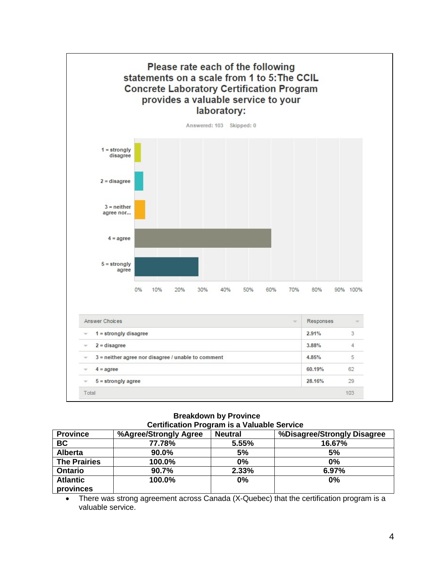

**Breakdown by Province Certification Program is a Valuable Service**

| <b>Province</b>              | <u> 881 - 1118 - 112 - 112 - 112 - 112 - 112 - 112 - 112 - 112 - 112 - 112 - 112 - 112 - 112 - 112 - 1</u><br>%Agree/Strongly Agree | <b>Neutral</b> | %Disagree/Strongly Disagree |
|------------------------------|-------------------------------------------------------------------------------------------------------------------------------------|----------------|-----------------------------|
| <b>BC</b>                    | 77.78%                                                                                                                              | 5.55%          | 16.67%                      |
| <b>Alberta</b>               | 90.0%                                                                                                                               | 5%             | 5%                          |
| <b>The Prairies</b>          | 100.0%                                                                                                                              | 0%             | $0\%$                       |
| <b>Ontario</b>               | 90.7%                                                                                                                               | 2.33%          | 6.97%                       |
| <b>Atlantic</b><br>provinces | 100.0%                                                                                                                              | 0%             | 0%                          |

• There was strong agreement across Canada (X-Quebec) that the certification program is a valuable service.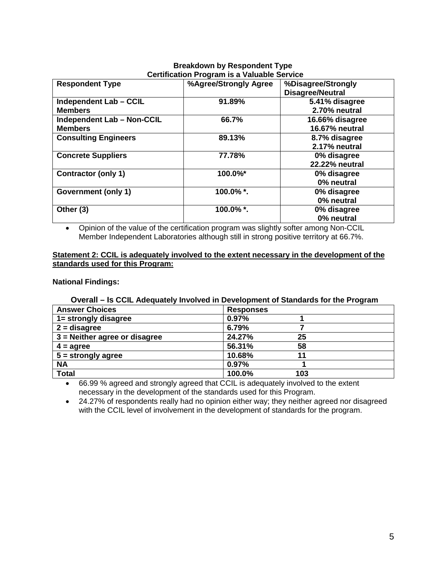## **Breakdown by Respondent Type Certification Program is a Valuable Service**

| <b>Respondent Type</b>            | %Agree/Strongly Agree | %Disagree/Strongly<br><b>Disagree/Neutral</b> |
|-----------------------------------|-----------------------|-----------------------------------------------|
| Independent Lab - CCIL            | 91.89%                | 5.41% disagree                                |
| <b>Members</b>                    |                       | 2.70% neutral                                 |
| <b>Independent Lab - Non-CCIL</b> | 66.7%                 | 16.66% disagree                               |
| <b>Members</b>                    |                       | 16.67% neutral                                |
| <b>Consulting Engineers</b>       | 89.13%                | 8.7% disagree                                 |
|                                   |                       | 2.17% neutral                                 |
| <b>Concrete Suppliers</b>         | 77.78%                | 0% disagree                                   |
|                                   |                       | 22.22% neutral                                |
| <b>Contractor (only 1)</b>        | 100.0%*               | 0% disagree                                   |
|                                   |                       | 0% neutral                                    |
| Government (only 1)               | 100.0%*.              | 0% disagree                                   |
|                                   |                       | 0% neutral                                    |
| Other (3)                         | 100.0%*.              | 0% disagree                                   |
|                                   |                       | 0% neutral                                    |

• Opinion of the value of the certification program was slightly softer among Non-CCIL Member Independent Laboratories although still in strong positive territory at 66.7%.

## **Statement 2: CCIL is adequately involved to the extent necessary in the development of the standards used for this Program:**

## **National Findings:**

## **Overall – Is CCIL Adequately Involved in Development of Standards for the Program**

| <b>Answer Choices</b>           | <b>Responses</b> |
|---------------------------------|------------------|
| 1= strongly disagree            | 0.97%            |
| $2 =$ disagree                  | 6.79%            |
| $3$ = Neither agree or disagree | 24.27%<br>25     |
| $4 = \text{agree}$              | 56.31%<br>58     |
| $5 =$ strongly agree            | 10.68%<br>11     |
| <b>NA</b>                       | 0.97%            |
| <b>Total</b>                    | 100.0%<br>103    |

• 66.99 % agreed and strongly agreed that CCIL is adequately involved to the extent necessary in the development of the standards used for this Program.

• 24.27% of respondents really had no opinion either way; they neither agreed nor disagreed with the CCIL level of involvement in the development of standards for the program.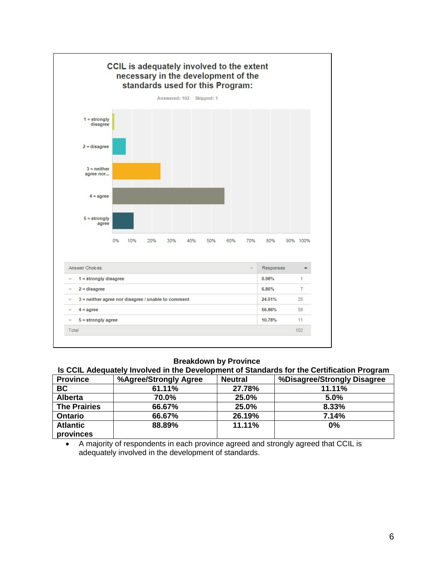

|  | Is CCIL Adequately Involved in the Development of Standards for the Certification Program |
|--|-------------------------------------------------------------------------------------------|
|--|-------------------------------------------------------------------------------------------|

| <b>Province</b>     | %Agree/Strongly Agree | <b>Neutral</b> | %Disagree/Strongly Disagree |
|---------------------|-----------------------|----------------|-----------------------------|
| <b>BC</b>           | 61.11%                | 27.78%         | 11.11%                      |
| <b>Alberta</b>      | 70.0%                 | 25.0%          | 5.0%                        |
| <b>The Prairies</b> | 66.67%                | 25.0%          | 8.33%                       |
| <b>Ontario</b>      | 66.67%                | 26.19%         | 7.14%                       |
| <b>Atlantic</b>     | 88.89%                | 11.11%         | 0%                          |
| provinces           |                       |                |                             |

• A majority of respondents in each province agreed and strongly agreed that CCIL is adequately involved in the development of standards.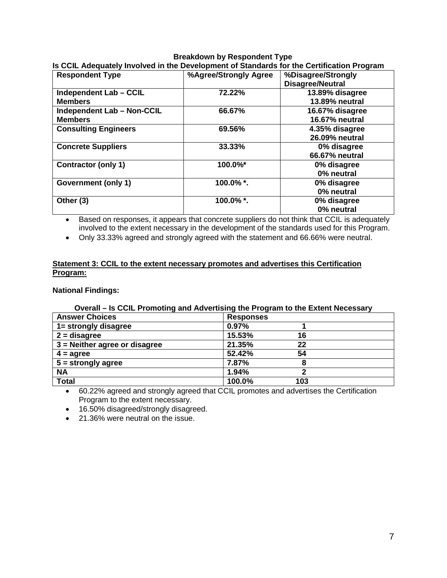## **Breakdown by Respondent Type Is CCIL Adequately Involved in the Development of Standards for the Certification Program**

| <b>Respondent Type</b>            | %Agree/Strongly Agree | %Disagree/Strongly      |
|-----------------------------------|-----------------------|-------------------------|
|                                   |                       | <b>Disagree/Neutral</b> |
| Independent Lab - CCIL            | 72.22%                | 13.89% disagree         |
| <b>Members</b>                    |                       | <b>13.89% neutral</b>   |
| <b>Independent Lab - Non-CCIL</b> | 66.67%                | 16.67% disagree         |
| <b>Members</b>                    |                       | <b>16.67% neutral</b>   |
| <b>Consulting Engineers</b>       | 69.56%                | 4.35% disagree          |
|                                   |                       | <b>26.09% neutral</b>   |
| <b>Concrete Suppliers</b>         | 33.33%                | 0% disagree             |
|                                   |                       | 66.67% neutral          |
| <b>Contractor (only 1)</b>        | 100.0%*               | 0% disagree             |
|                                   |                       | 0% neutral              |
| Government (only 1)               | 100.0%*.              | 0% disagree             |
|                                   |                       | 0% neutral              |
| Other (3)                         | 100.0%*.              | 0% disagree             |
|                                   |                       | 0% neutral              |

• Based on responses, it appears that concrete suppliers do not think that CCIL is adequately involved to the extent necessary in the development of the standards used for this Program.

• Only 33.33% agreed and strongly agreed with the statement and 66.66% were neutral.

## **Statement 3: CCIL to the extent necessary promotes and advertises this Certification Program:**

**National Findings:** 

## **Overall – Is CCIL Promoting and Advertising the Program to the Extent Necessary**

| <b>Answer Choices</b>           | <b>Responses</b> |
|---------------------------------|------------------|
| 1= strongly disagree            | 0.97%            |
| $2 =$ disagree                  | 15.53%<br>16     |
| $3$ = Neither agree or disagree | 21.35%<br>22     |
| $4 = \text{agree}$              | 52.42%<br>54     |
| $5 =$ strongly agree            | 7.87%            |
| <b>NA</b>                       | 1.94%            |
| <b>Total</b>                    | 100.0%<br>103    |

• 60.22% agreed and strongly agreed that CCIL promotes and advertises the Certification Program to the extent necessary.

• 16.50% disagreed/strongly disagreed.

• 21.36% were neutral on the issue.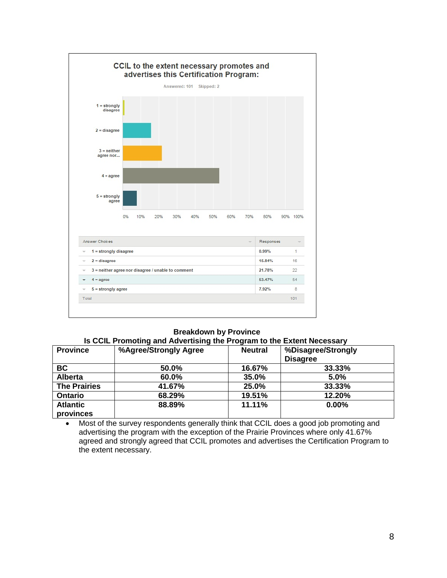

### **Is CCIL Promoting and Advertising the Program to the Extent Necessary**

| <b>Province</b>     | %Agree/Strongly Agree | <b>Neutral</b> | %Disagree/Strongly<br><b>Disagree</b> |
|---------------------|-----------------------|----------------|---------------------------------------|
| <b>BC</b>           | 50.0%                 | 16.67%         | 33.33%                                |
| <b>Alberta</b>      | 60.0%                 | 35.0%          | 5.0%                                  |
| <b>The Prairies</b> | 41.67%                | 25.0%          | 33.33%                                |
| <b>Ontario</b>      | 68.29%                | 19.51%         | 12.20%                                |
| <b>Atlantic</b>     | 88.89%                | 11.11%         | 0.00%                                 |
| provinces           |                       |                |                                       |

• Most of the survey respondents generally think that CCIL does a good job promoting and advertising the program with the exception of the Prairie Provinces where only 41.67% agreed and strongly agreed that CCIL promotes and advertises the Certification Program to the extent necessary.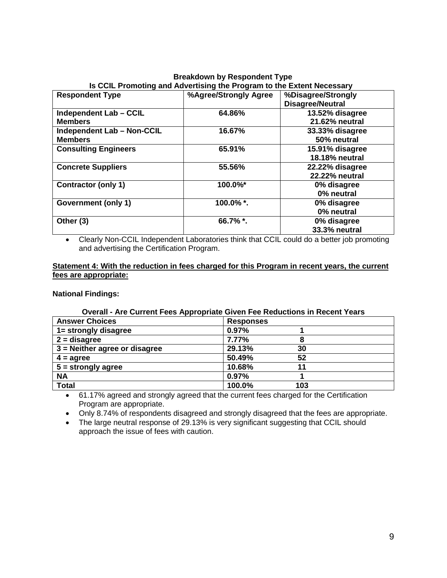### **Breakdown by Respondent Type Is CCIL Promoting and Advertising the Program to the Extent Necessary<br>Respondent Type 1996 1996 1997/2009 1998 1999/Strongly Agree 1996 1998 1999/Strongly Respondent Type %Agree/Strongly Agree %Disagree/Strongly Disagree/Neutral Independent Lab – CCIL Members 64.86% 13.52% disagree 21.62% neutral Independent Lab – Non-CCIL Members 16.67% 33.33% disagree 50% neutral Consulting Engineers** 65.91% **18.18% neutral Concrete Suppliers 55.56% 22.22% disagree 22.22% neutral Contractor (only 1) 100.0%\* 0% disagree 0% neutral Government (only 1) 100.0% \*. 0% disagree 0% neutral Other (3) 66.7% \*. 0% disagree 33.3% neutral**

• Clearly Non-CCIL Independent Laboratories think that CCIL could do a better job promoting and advertising the Certification Program.

## **Statement 4: With the reduction in fees charged for this Program in recent years, the current fees are appropriate:**

**National Findings:** 

## **Overall - Are Current Fees Appropriate Given Fee Reductions in Recent Years**

| <b>Answer Choices</b>           | <b>Responses</b> |
|---------------------------------|------------------|
| 1= strongly disagree            | 0.97%            |
| $2 =$ disagree                  | 7.77%<br>8       |
| $3$ = Neither agree or disagree | 29.13%<br>30     |
| $4 = \text{agree}$              | 50.49%<br>52     |
| $5 =$ strongly agree            | 10.68%<br>11     |
| <b>NA</b>                       | 0.97%            |
| <b>Total</b>                    | 100.0%<br>103    |

• 61.17% agreed and strongly agreed that the current fees charged for the Certification Program are appropriate.

• Only 8.74% of respondents disagreed and strongly disagreed that the fees are appropriate.

• The large neutral response of 29.13% is very significant suggesting that CCIL should approach the issue of fees with caution.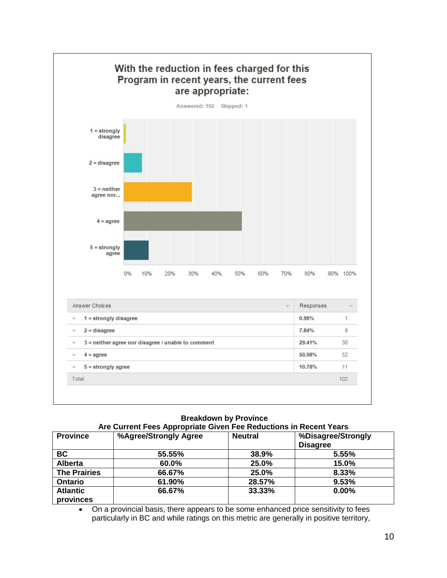

### **Breakdown by Province Are Current Fees Appropriate Given Fee Reductions in Recent Years**

| <b>Province</b>     | %Agree/Strongly Agree | <b>Neutral</b> | %Disagree/Strongly<br><b>Disagree</b> |
|---------------------|-----------------------|----------------|---------------------------------------|
| <b>BC</b>           | 55.55%                | 38.9%          | 5.55%                                 |
| <b>Alberta</b>      | 60.0%                 | 25.0%          | 15.0%                                 |
| <b>The Prairies</b> | 66.67%                | 25.0%          | 8.33%                                 |
| <b>Ontario</b>      | 61.90%                | 28.57%         | 9.53%                                 |
| <b>Atlantic</b>     | 66.67%                | 33.33%         | 0.00%                                 |
| provinces           |                       |                |                                       |

• On a provincial basis, there appears to be some enhanced price sensitivity to fees particularly in BC and while ratings on this metric are generally in positive territory,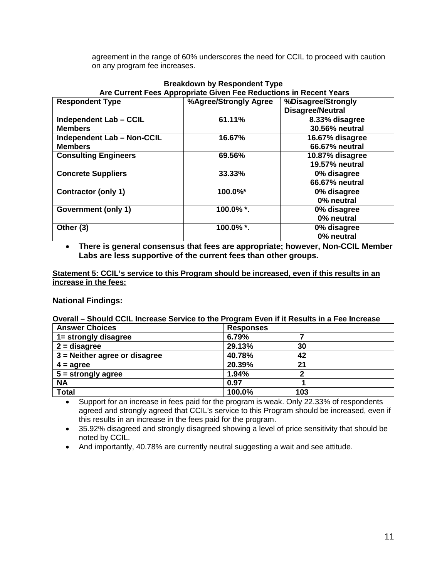agreement in the range of 60% underscores the need for CCIL to proceed with caution on any program fee increases.

| Are Current Fees Appropriate Given Fee Reductions in Recent Years |                       |                         |  |  |
|-------------------------------------------------------------------|-----------------------|-------------------------|--|--|
| <b>Respondent Type</b>                                            | %Agree/Strongly Agree | %Disagree/Strongly      |  |  |
|                                                                   |                       | <b>Disagree/Neutral</b> |  |  |
| Independent Lab - CCIL                                            | 61.11%                | 8.33% disagree          |  |  |
| <b>Members</b>                                                    |                       | 30.56% neutral          |  |  |
| <b>Independent Lab - Non-CCIL</b>                                 | 16.67%                | 16.67% disagree         |  |  |
| <b>Members</b>                                                    |                       | 66.67% neutral          |  |  |
| <b>Consulting Engineers</b>                                       | 69.56%                | 10.87% disagree         |  |  |
|                                                                   |                       | 19.57% neutral          |  |  |
| <b>Concrete Suppliers</b>                                         | 33.33%                | 0% disagree             |  |  |
|                                                                   |                       | 66.67% neutral          |  |  |
| <b>Contractor (only 1)</b>                                        | 100.0%*               | 0% disagree             |  |  |
|                                                                   |                       | 0% neutral              |  |  |
| Government (only 1)                                               | 100.0%*.              | 0% disagree             |  |  |
|                                                                   |                       | 0% neutral              |  |  |
| Other (3)                                                         | 100.0%*.              | 0% disagree             |  |  |
|                                                                   |                       | 0% neutral              |  |  |

## **Breakdown by Respondent Type Are Current Fees Appropriate Given Fee Reductions in Recent Years**

• **There is general consensus that fees are appropriate; however, Non-CCIL Member Labs are less supportive of the current fees than other groups.** 

**Statement 5: CCIL's service to this Program should be increased, even if this results in an increase in the fees:**

## **National Findings:**

## **Overall – Should CCIL Increase Service to the Program Even if it Results in a Fee Increase**

| <b>Answer Choices</b>           | <b>Responses</b> |  |  |
|---------------------------------|------------------|--|--|
| 1= strongly disagree            | 6.79%            |  |  |
| $2 =$ disagree                  | 29.13%<br>30     |  |  |
| $3$ = Neither agree or disagree | 40.78%<br>42     |  |  |
| $4 = \text{agree}$              | 20.39%<br>21     |  |  |
| $5 =$ strongly agree            | 1.94%<br>◠       |  |  |
| <b>NA</b>                       | 0.97             |  |  |
| <b>Total</b>                    | 100.0%<br>103    |  |  |

• Support for an increase in fees paid for the program is weak. Only 22.33% of respondents agreed and strongly agreed that CCIL's service to this Program should be increased, even if this results in an increase in the fees paid for the program.

• 35.92% disagreed and strongly disagreed showing a level of price sensitivity that should be noted by CCIL.

• And importantly, 40.78% are currently neutral suggesting a wait and see attitude.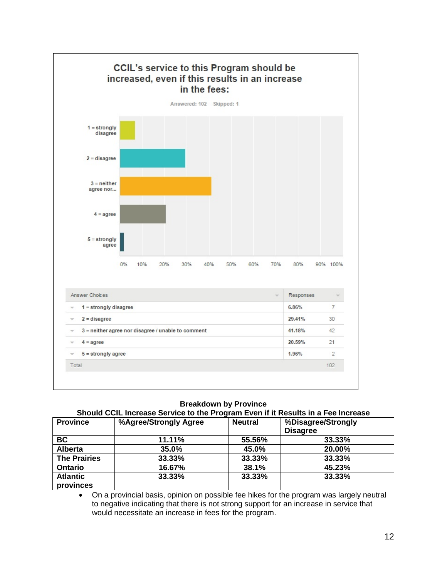

### **Should CCIL Increase Service to the Program Even if it Results in a Fee Increase**

| <b>Province</b>     | %Agree/Strongly Agree | <b>Neutral</b> | %Disagree/Strongly |
|---------------------|-----------------------|----------------|--------------------|
|                     |                       |                | <b>Disagree</b>    |
| BC                  | 11.11%                | 55.56%         | 33.33%             |
| <b>Alberta</b>      | 35.0%                 | 45.0%          | 20.00%             |
| <b>The Prairies</b> | 33.33%                | 33.33%         | 33.33%             |
| <b>Ontario</b>      | 16.67%                | 38.1%          | 45.23%             |
| <b>Atlantic</b>     | 33.33%                | 33.33%         | 33.33%             |
| provinces           |                       |                |                    |

• On a provincial basis, opinion on possible fee hikes for the program was largely neutral to negative indicating that there is not strong support for an increase in service that would necessitate an increase in fees for the program.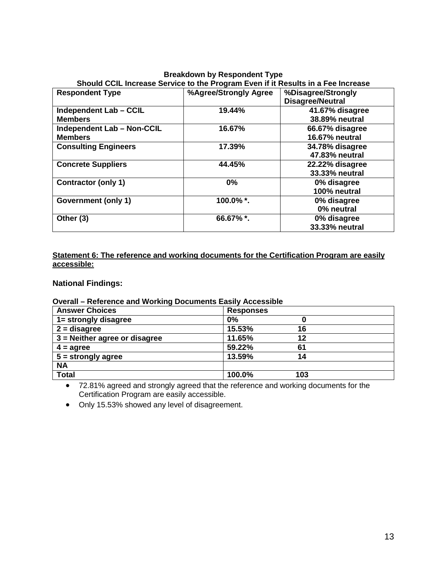| Breakdown by Respondent Type                                                     |                       |                         |  |  |
|----------------------------------------------------------------------------------|-----------------------|-------------------------|--|--|
| Should CCIL Increase Service to the Program Even if it Results in a Fee Increase |                       |                         |  |  |
| <b>Respondent Type</b>                                                           | %Agree/Strongly Agree | %Disagree/Strongly      |  |  |
|                                                                                  |                       | <b>Disagree/Neutral</b> |  |  |
| Independent Lab - CCIL                                                           | 19.44%                | 41.67% disagree         |  |  |
| <b>Members</b>                                                                   |                       | 38.89% neutral          |  |  |
| <b>Independent Lab - Non-CCIL</b>                                                | 16.67%                | 66.67% disagree         |  |  |
| <b>Members</b>                                                                   |                       | 16.67% neutral          |  |  |
| <b>Consulting Engineers</b>                                                      | 17.39%                | 34.78% disagree         |  |  |
|                                                                                  |                       | 47.83% neutral          |  |  |
| <b>Concrete Suppliers</b>                                                        | 44.45%                | 22.22% disagree         |  |  |
|                                                                                  |                       | 33.33% neutral          |  |  |
| <b>Contractor (only 1)</b>                                                       | $0\%$                 | 0% disagree             |  |  |
|                                                                                  |                       | 100% neutral            |  |  |
| Government (only 1)                                                              | 100.0%*.              | 0% disagree             |  |  |
|                                                                                  |                       | 0% neutral              |  |  |
| Other (3)                                                                        | 66.67%*.              | 0% disagree             |  |  |
|                                                                                  |                       | 33.33% neutral          |  |  |

# **Breakdown by Respondent Type**

**Statement 6: The reference and working documents for the Certification Program are easily accessible:**

## **National Findings:**

## **Overall – Reference and Working Documents Easily Accessible**

| <b>Answer Choices</b>           | <b>Responses</b> |     |  |
|---------------------------------|------------------|-----|--|
| 1= strongly disagree            | 0%               |     |  |
| $2 =$ disagree                  | 15.53%           | 16  |  |
| $3$ = Neither agree or disagree | 11.65%           | 12  |  |
| $4 = \text{agree}$              | 59.22%           | 61  |  |
| $5 =$ strongly agree            | 13.59%           | 14  |  |
| <b>NA</b>                       |                  |     |  |
| <b>Total</b>                    | 100.0%           | 103 |  |

• 72.81% agreed and strongly agreed that the reference and working documents for the Certification Program are easily accessible.

• Only 15.53% showed any level of disagreement.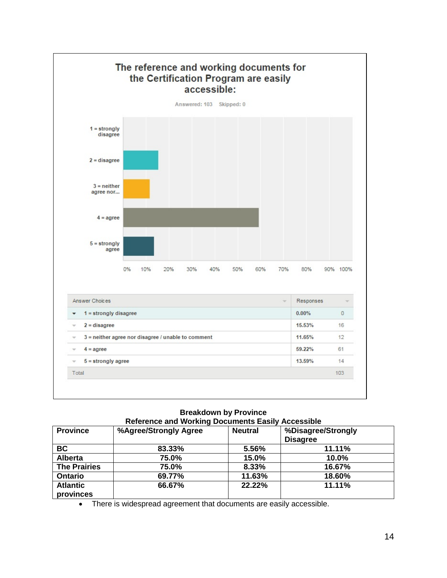

### **Breakdown by Province Reference and Working Documents Easily Accessible**

|                     | <b>NOICHOLOGING HOLIGING DOCUMENTS LASH!</b><br><b>LIANDRA</b> |                |                    |  |  |
|---------------------|----------------------------------------------------------------|----------------|--------------------|--|--|
| <b>Province</b>     | %Agree/Strongly Agree                                          | <b>Neutral</b> | %Disagree/Strongly |  |  |
|                     |                                                                |                | <b>Disagree</b>    |  |  |
| BC                  | 83.33%                                                         | 5.56%          | 11.11%             |  |  |
| <b>Alberta</b>      | 75.0%                                                          | 15.0%          | 10.0%              |  |  |
| <b>The Prairies</b> | 75.0%                                                          | 8.33%          | 16.67%             |  |  |
| <b>Ontario</b>      | 69.77%                                                         | 11.63%         | 18.60%             |  |  |
| <b>Atlantic</b>     | 66.67%                                                         | 22.22%         | 11.11%             |  |  |
| provinces           |                                                                |                |                    |  |  |

• There is widespread agreement that documents are easily accessible.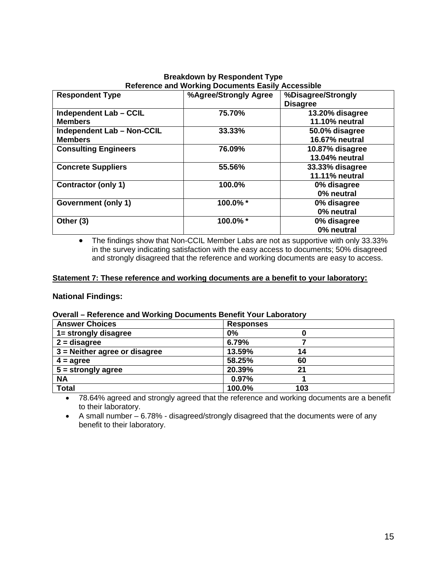## **Breakdown by Respondent Type Reference and Working Documents Easily Accessible**

| <b>Respondent Type</b>            | %Agree/Strongly Agree | %Disagree/Strongly    |
|-----------------------------------|-----------------------|-----------------------|
|                                   |                       | <b>Disagree</b>       |
| Independent Lab - CCIL            | 75.70%                | 13.20% disagree       |
| <b>Members</b>                    |                       | 11.10% neutral        |
| <b>Independent Lab - Non-CCIL</b> | 33.33%                | 50.0% disagree        |
| <b>Members</b>                    |                       | 16.67% neutral        |
| <b>Consulting Engineers</b>       | 76.09%                | 10.87% disagree       |
|                                   |                       | <b>13.04% neutral</b> |
| <b>Concrete Suppliers</b>         | 55.56%                | 33.33% disagree       |
|                                   |                       | <b>11.11% neutral</b> |
| <b>Contractor (only 1)</b>        | 100.0%                | 0% disagree           |
|                                   |                       | 0% neutral            |
| Government (only 1)               | 100.0%*               | 0% disagree           |
|                                   |                       | 0% neutral            |
| Other (3)                         | 100.0%*               | 0% disagree           |
|                                   |                       | 0% neutral            |

• The findings show that Non-CCIL Member Labs are not as supportive with only 33.33% in the survey indicating satisfaction with the easy access to documents; 50% disagreed and strongly disagreed that the reference and working documents are easy to access.

## **Statement 7: These reference and working documents are a benefit to your laboratory:**

## **National Findings:**

## **Overall – Reference and Working Documents Benefit Your Laboratory**

| <b>Answer Choices</b>           | <b>Responses</b> |
|---------------------------------|------------------|
| 1= strongly disagree            | 0%               |
| $2 =$ disagree                  | 6.79%            |
| $3$ = Neither agree or disagree | 13.59%<br>14     |
| $4 = \text{agree}$              | 58.25%<br>60     |
| $5 =$ strongly agree            | 20.39%<br>21     |
| <b>NA</b>                       | 0.97%            |
| <b>Total</b>                    | 100.0%<br>103    |

• 78.64% agreed and strongly agreed that the reference and working documents are a benefit to their laboratory.

• A small number – 6.78% - disagreed/strongly disagreed that the documents were of any benefit to their laboratory.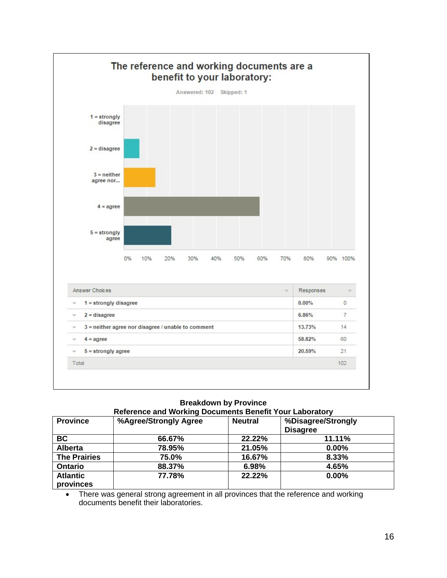

### **Breakdown by Province Reference and Working Documents Benefit Your Laboratory**

| <b>Province</b>              | %Agree/Strongly Agree | <b>Neutral</b> | %Disagree/Strongly<br><b>Disagree</b> |
|------------------------------|-----------------------|----------------|---------------------------------------|
| <b>BC</b>                    | 66.67%                | 22.22%         | 11.11%                                |
| <b>Alberta</b>               | 78.95%                | 21.05%         | 0.00%                                 |
| <b>The Prairies</b>          | 75.0%                 | 16.67%         | 8.33%                                 |
| <b>Ontario</b>               | 88.37%                | 6.98%          | 4.65%                                 |
| <b>Atlantic</b><br>provinces | 77.78%                | 22.22%         | 0.00%                                 |

• There was general strong agreement in all provinces that the reference and working documents benefit their laboratories.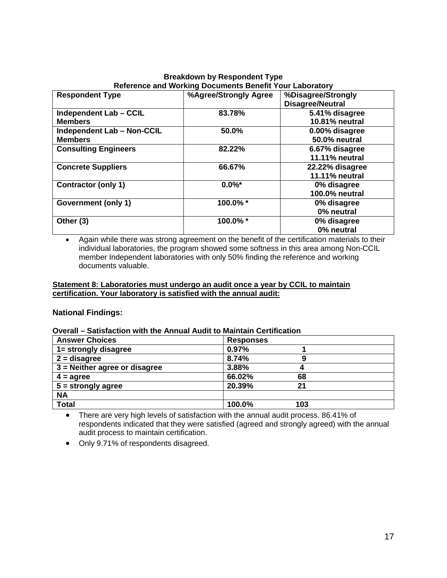### **Breakdown by Respondent Type Reference and Working Documents Benefit Your Laboratory<br>Respondent Type 19th Connect Agree/Strongly Agree 19th Connect Strongly Agree 19th Respondent Type %Agree/Strongly Agree %Disagree/Strongly Disagree/Neutral Independent Lab – CCIL Members 83.78% 5.41% disagree 10.81% neutral Independent Lab – Non-CCIL Members 50.0% 0.00% disagree 50.0% neutral Consulting Engineers** 82.22% **11.11% neutral Concrete Suppliers 66.67% 22.22% disagree 11.11% neutral Contractor (only 1) 0.0%\* 0% disagree 100.0% neutral Government (only 1) 100.0% \* 0% disagree 0% neutral Other (3) 100.0% \* 0% disagree 0% neutral**

• Again while there was strong agreement on the benefit of the certification materials to their individual laboratories, the program showed some softness in this area among Non-CCIL member Independent laboratories with only 50% finding the reference and working documents valuable.

## **Statement 8: Laboratories must undergo an audit once a year by CCIL to maintain certification. Your laboratory is satisfied with the annual audit:**

## **National Findings:**

## **Overall – Satisfaction with the Annual Audit to Maintain Certification**

| <b>Answer Choices</b>           | <b>Responses</b> |
|---------------------------------|------------------|
| 1= strongly disagree            | 0.97%            |
| $2 =$ disagree                  | 8.74%<br>g       |
| $3$ = Neither agree or disagree | 3.88%<br>4       |
| $4 = \text{agree}$              | 66.02%<br>68     |
| $5 =$ strongly agree            | 20.39%<br>21     |
| <b>NA</b>                       |                  |
| <b>Total</b>                    | 100.0%<br>103    |

• There are very high levels of satisfaction with the annual audit process. 86.41% of respondents indicated that they were satisfied (agreed and strongly agreed) with the annual audit process to maintain certification.

• Only 9.71% of respondents disagreed.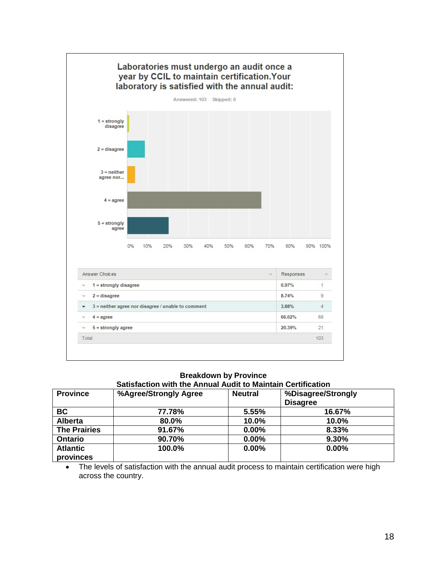

### **Breakdown by Province Satisfaction with the Annual Audit to Maintain Certification**

| <b>Province</b>     | %Agree/Strongly Agree | <b>Neutral</b> | %Disagree/Strongly |
|---------------------|-----------------------|----------------|--------------------|
|                     |                       |                | <b>Disagree</b>    |
| <b>BC</b>           | 77.78%                | 5.55%          | 16.67%             |
| <b>Alberta</b>      | 80.0%                 | 10.0%          | 10.0%              |
| <b>The Prairies</b> | 91.67%                | 0.00%          | 8.33%              |
| <b>Ontario</b>      | 90.70%                | 0.00%          | 9.30%              |
| <b>Atlantic</b>     | 100.0%                | 0.00%          | 0.00%              |
| provinces           |                       |                |                    |

• The levels of satisfaction with the annual audit process to maintain certification were high across the country.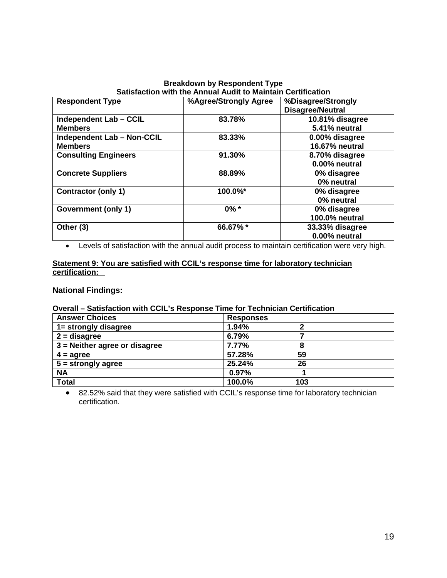## **Breakdown by Respondent Type Satisfaction with the Annual Audit to Maintain Certification**

| <b>Respondent Type</b>            | %Agree/Strongly Agree | %Disagree/Strongly      |
|-----------------------------------|-----------------------|-------------------------|
|                                   |                       | <b>Disagree/Neutral</b> |
| Independent Lab - CCIL            | 83.78%                | 10.81% disagree         |
| <b>Members</b>                    |                       | 5.41% neutral           |
| <b>Independent Lab - Non-CCIL</b> | 83.33%                | 0.00% disagree          |
| <b>Members</b>                    |                       | <b>16.67% neutral</b>   |
| <b>Consulting Engineers</b>       | 91.30%                | 8.70% disagree          |
|                                   |                       | 0.00% neutral           |
| <b>Concrete Suppliers</b>         | 88.89%                | 0% disagree             |
|                                   |                       | 0% neutral              |
| <b>Contractor (only 1)</b>        | 100.0%*               | 0% disagree             |
|                                   |                       | 0% neutral              |
| Government (only 1)               | $0\% *$               | 0% disagree             |
|                                   |                       | 100.0% neutral          |
| Other (3)                         | 66.67%*               | 33.33% disagree         |
|                                   |                       | 0.00% neutral           |

• Levels of satisfaction with the annual audit process to maintain certification were very high.

## **Statement 9: You are satisfied with CCIL's response time for laboratory technician certification:**

## **National Findings:**

## **Overall – Satisfaction with CCIL's Response Time for Technician Certification**

| <b>Answer Choices</b>           | <b>Responses</b> |
|---------------------------------|------------------|
| 1= strongly disagree            | 1.94%            |
| $2 =$ disagree                  | 6.79%            |
| $3$ = Neither agree or disagree | 7.77%<br>8       |
| $4 = \text{agree}$              | 57.28%<br>59     |
| $5 =$ strongly agree            | 25.24%<br>26     |
| <b>NA</b>                       | 0.97%            |
| <b>Total</b>                    | 100.0%<br>103    |

• 82.52% said that they were satisfied with CCIL's response time for laboratory technician certification.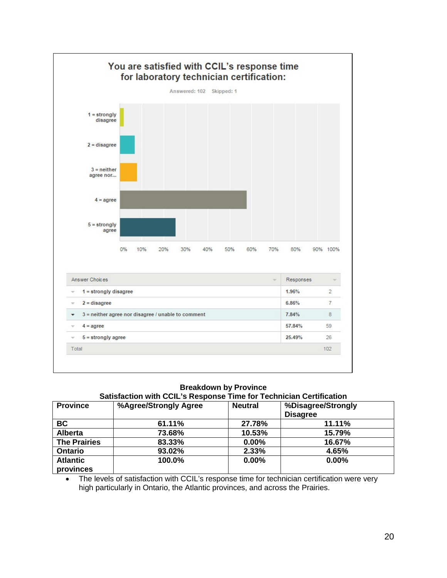

| <b>Province</b>              | Satisfaction with CCIL's Response Time for Technician Certification<br>%Agree/Strongly Agree | <b>Neutral</b> | %Disagree/Strongly<br><b>Disagree</b> |
|------------------------------|----------------------------------------------------------------------------------------------|----------------|---------------------------------------|
| <b>BC</b>                    | 61.11%                                                                                       | 27.78%         | 11.11%                                |
| <b>Alberta</b>               | 73.68%                                                                                       | 10.53%         | 15.79%                                |
| <b>The Prairies</b>          | 83.33%                                                                                       | $0.00\%$       | 16.67%                                |
| <b>Ontario</b>               | 93.02%                                                                                       | 2.33%          | 4.65%                                 |
| <b>Atlantic</b><br>provinces | 100.0%                                                                                       | 0.00%          | 0.00%                                 |

• The levels of satisfaction with CCIL's response time for technician certification were very high particularly in Ontario, the Atlantic provinces, and across the Prairies.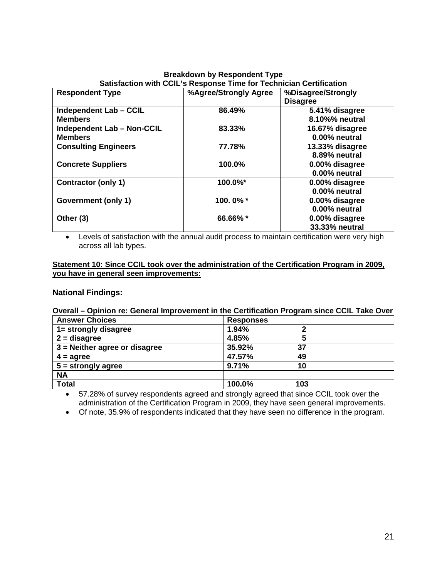## **Breakdown by Respondent Type Satisfaction with CCIL's Response Time for Technician Certification**

| <b>Respondent Type</b>            | %Agree/Strongly Agree | %Disagree/Strongly<br><b>Disagree</b> |
|-----------------------------------|-----------------------|---------------------------------------|
| <b>Independent Lab - CCIL</b>     | 86.49%                | 5.41% disagree                        |
| <b>Members</b>                    |                       | 8.10%% neutral                        |
| <b>Independent Lab - Non-CCIL</b> | 83.33%                | 16.67% disagree                       |
| <b>Members</b>                    |                       | 0.00% neutral                         |
| <b>Consulting Engineers</b>       | 77.78%                | 13.33% disagree                       |
|                                   |                       | 8.89% neutral                         |
| <b>Concrete Suppliers</b>         | 100.0%                | 0.00% disagree                        |
|                                   |                       | 0.00% neutral                         |
| <b>Contractor (only 1)</b>        | 100.0%*               | 0.00% disagree                        |
|                                   |                       | 0.00% neutral                         |
| Government (only 1)               | 100.0%*               | 0.00% disagree                        |
|                                   |                       | 0.00% neutral                         |
| Other (3)                         | 66.66%*               | 0.00% disagree                        |
|                                   |                       | 33.33% neutral                        |

• Levels of satisfaction with the annual audit process to maintain certification were very high across all lab types.

## **Statement 10: Since CCIL took over the administration of the Certification Program in 2009, you have in general seen improvements:**

## **National Findings:**

# **Overall – Opinion re: General Improvement in the Certification Program since CCIL Take Over**

| <b>Answer Choices</b>           | <b>Responses</b> |
|---------------------------------|------------------|
| 1= strongly disagree            | 1.94%            |
| $2 =$ disagree                  | 4.85%            |
| $3$ = Neither agree or disagree | 35.92%<br>37     |
| $4 = \text{agree}$              | 47.57%<br>49     |
| $5 =$ strongly agree            | 9.71%<br>10      |
| <b>NA</b>                       |                  |
| <b>Total</b>                    | 100.0%<br>103    |

• 57.28% of survey respondents agreed and strongly agreed that since CCIL took over the administration of the Certification Program in 2009, they have seen general improvements.

• Of note, 35.9% of respondents indicated that they have seen no difference in the program.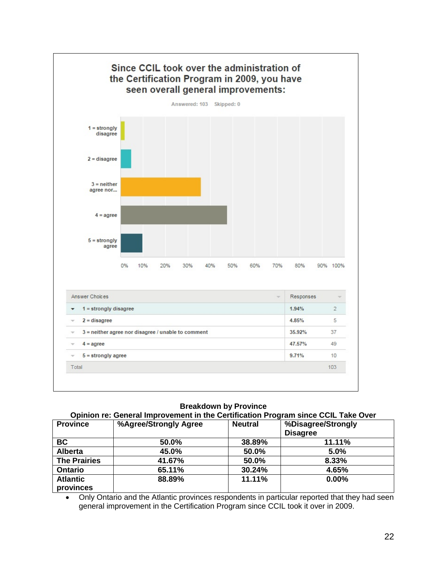

### **Opinion re: General Improvement in the Certification Program since CCIL Take Over**

| <b>Province</b>     | %Agree/Strongly Agree | <b>Neutral</b> | %Disagree/Strongly |
|---------------------|-----------------------|----------------|--------------------|
|                     |                       |                | <b>Disagree</b>    |
| <b>BC</b>           | 50.0%                 | 38.89%         | 11.11%             |
| <b>Alberta</b>      | 45.0%                 | 50.0%          | 5.0%               |
| <b>The Prairies</b> | 41.67%                | 50.0%          | 8.33%              |
| <b>Ontario</b>      | 65.11%                | 30.24%         | 4.65%              |
| <b>Atlantic</b>     | 88.89%                | 11.11%         | 0.00%              |
| provinces           |                       |                |                    |

• Only Ontario and the Atlantic provinces respondents in particular reported that they had seen general improvement in the Certification Program since CCIL took it over in 2009.